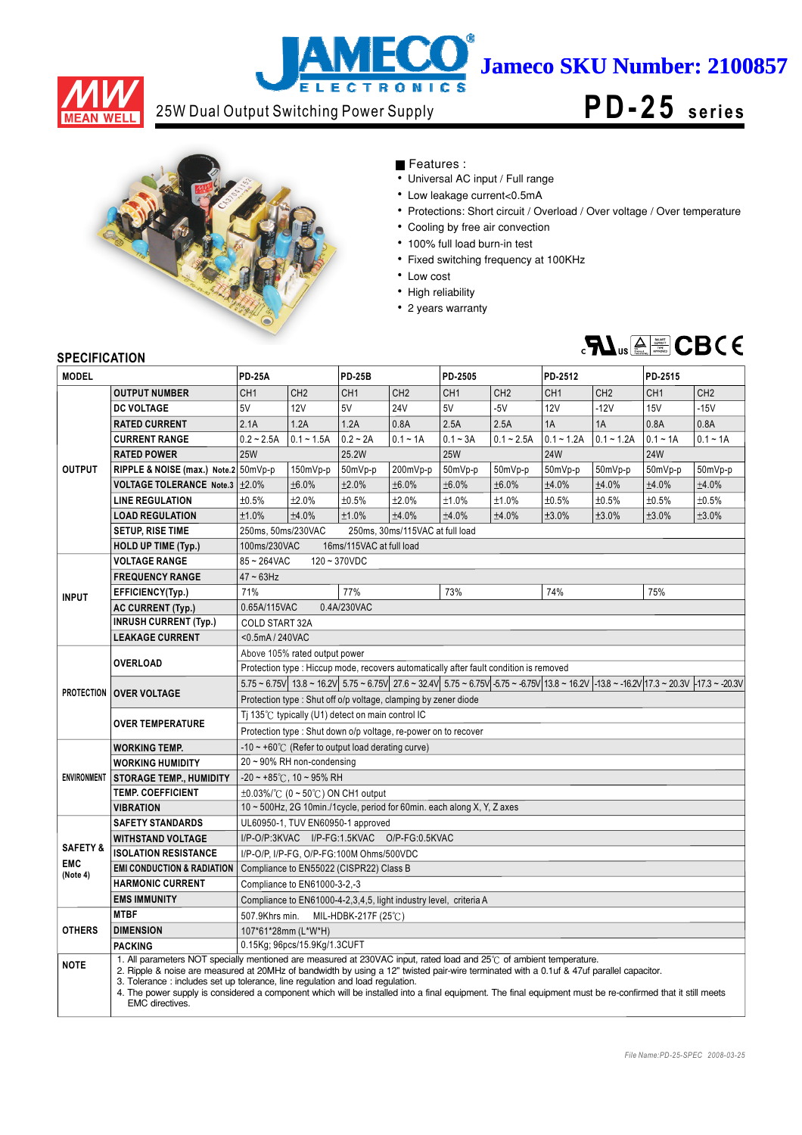

## **ECO** ì **Jameco SKU Number: 2100857 ELECTRONICS**

# 25W Dual Output Switching Power Supply **PD-25** series



## Features :

- Universal AC input / Full range
- Low leakage current<0.5mA
- Protections: Short circuit / Overload / Over voltage / Over temperature
- Cooling by free air convection
- 100% full load burn-in test
- Fixed switching frequency at 100KHz
- Low cost
- High reliability
- 2 years warranty



### **SPECIFICATION**

| <b>SPECIFICATION</b><br><b>MODEL</b> |                                                                                                                                                                                                                                                                                                                                                                                                                                                                                                                                   | <b>PD-25A</b>                                                                                                                                                                                                                 |                 | <b>PD-25B</b>                           |                 | PD-2505         |                          | PD-2512         |                 | PD-2515         |                 |
|--------------------------------------|-----------------------------------------------------------------------------------------------------------------------------------------------------------------------------------------------------------------------------------------------------------------------------------------------------------------------------------------------------------------------------------------------------------------------------------------------------------------------------------------------------------------------------------|-------------------------------------------------------------------------------------------------------------------------------------------------------------------------------------------------------------------------------|-----------------|-----------------------------------------|-----------------|-----------------|--------------------------|-----------------|-----------------|-----------------|-----------------|
|                                      |                                                                                                                                                                                                                                                                                                                                                                                                                                                                                                                                   |                                                                                                                                                                                                                               |                 |                                         |                 |                 |                          |                 |                 |                 |                 |
|                                      | <b>OUTPUT NUMBER</b>                                                                                                                                                                                                                                                                                                                                                                                                                                                                                                              | CH <sub>1</sub>                                                                                                                                                                                                               | CH <sub>2</sub> | CH <sub>1</sub><br>5V                   | CH <sub>2</sub> | CH <sub>1</sub> | CH <sub>2</sub><br>$-5V$ | CH <sub>1</sub> | CH <sub>2</sub> | CH <sub>1</sub> | CH <sub>2</sub> |
|                                      | <b>DC VOLTAGE</b>                                                                                                                                                                                                                                                                                                                                                                                                                                                                                                                 | 5V                                                                                                                                                                                                                            | <b>12V</b>      |                                         | <b>24V</b>      | 5V              |                          | <b>12V</b>      | $-12V$          | <b>15V</b>      | $-15V$          |
|                                      | <b>RATED CURRENT</b>                                                                                                                                                                                                                                                                                                                                                                                                                                                                                                              | 2.1A                                                                                                                                                                                                                          | 1.2A            | 1.2A                                    | 0.8A            | 2.5A            | 2.5A                     | 1A              | 1A              | 0.8A            | 0.8A            |
|                                      | <b>CURRENT RANGE</b>                                                                                                                                                                                                                                                                                                                                                                                                                                                                                                              | $0.2 - 2.5A$                                                                                                                                                                                                                  | $0.1 - 1.5A$    | $0.2 - 2A$                              | $0.1 - 1A$      | $0.1 - 3A$      | $0.1 - 2.5A$             | $0.1 - 1.2A$    | $0.1 - 1.2A$    | $0.1 - 1A$      | $0.1 - 1A$      |
|                                      | <b>RATED POWER</b>                                                                                                                                                                                                                                                                                                                                                                                                                                                                                                                | <b>25W</b>                                                                                                                                                                                                                    |                 | 25.2W                                   |                 | <b>25W</b>      |                          | <b>24W</b>      |                 | <b>24W</b>      |                 |
| <b>OUTPUT</b>                        | RIPPLE & NOISE (max.) Note.2 50mVp-p                                                                                                                                                                                                                                                                                                                                                                                                                                                                                              |                                                                                                                                                                                                                               | 150mVp-p        | 50mVp-p                                 | 200mVp-p        | 50mVp-p         | 50mVp-p                  | 50mVp-p         | 50mVp-p         | 50mVp-p         | 50mVp-p         |
|                                      | <b>VOLTAGE TOLERANCE Note.3</b>                                                                                                                                                                                                                                                                                                                                                                                                                                                                                                   | ±2.0%                                                                                                                                                                                                                         | ±6.0%           | ±2.0%                                   | ±6.0%           | ±6.0%           | ±6.0%                    | ±4.0%           | ±4.0%           | ±4.0%           | ±4.0%           |
|                                      | <b>LINE REGULATION</b>                                                                                                                                                                                                                                                                                                                                                                                                                                                                                                            | ±0.5%                                                                                                                                                                                                                         | ±2.0%           | ±0.5%                                   | ±2.0%           | ±1.0%           | ±1.0%                    | ±0.5%           | ±0.5%           | ±0.5%           | ±0.5%           |
|                                      | <b>LOAD REGULATION</b>                                                                                                                                                                                                                                                                                                                                                                                                                                                                                                            | ±1.0%                                                                                                                                                                                                                         | ±4.0%           | ±1.0%                                   | ±4.0%           | ±4.0%           | ±4.0%                    | ±3.0%           | ±3.0%           | ±3.0%           | ±3.0%           |
|                                      | <b>SETUP, RISE TIME</b>                                                                                                                                                                                                                                                                                                                                                                                                                                                                                                           | 250ms, 50ms/230VAC<br>250ms, 30ms/115VAC at full load                                                                                                                                                                         |                 |                                         |                 |                 |                          |                 |                 |                 |                 |
|                                      | <b>HOLD UP TIME (Typ.)</b>                                                                                                                                                                                                                                                                                                                                                                                                                                                                                                        | 100ms/230VAC<br>16ms/115VAC at full load                                                                                                                                                                                      |                 |                                         |                 |                 |                          |                 |                 |                 |                 |
|                                      | <b>VOLTAGE RANGE</b>                                                                                                                                                                                                                                                                                                                                                                                                                                                                                                              | 85~264VAC<br>$120 - 370VDC$                                                                                                                                                                                                   |                 |                                         |                 |                 |                          |                 |                 |                 |                 |
|                                      | <b>FREQUENCY RANGE</b>                                                                                                                                                                                                                                                                                                                                                                                                                                                                                                            | $47 \sim 63$ Hz                                                                                                                                                                                                               |                 |                                         |                 |                 |                          |                 |                 |                 |                 |
| <b>INPUT</b>                         | EFFICIENCY(Typ.)                                                                                                                                                                                                                                                                                                                                                                                                                                                                                                                  | 71%                                                                                                                                                                                                                           |                 | 77%                                     |                 | 73%             |                          | 74%             |                 | 75%             |                 |
|                                      | <b>AC CURRENT (Typ.)</b>                                                                                                                                                                                                                                                                                                                                                                                                                                                                                                          | 0.65A/115VAC<br>0.4A/230VAC                                                                                                                                                                                                   |                 |                                         |                 |                 |                          |                 |                 |                 |                 |
|                                      | <b>INRUSH CURRENT (Typ.)</b>                                                                                                                                                                                                                                                                                                                                                                                                                                                                                                      | <b>COLD START 32A</b>                                                                                                                                                                                                         |                 |                                         |                 |                 |                          |                 |                 |                 |                 |
|                                      | <b>LEAKAGE CURRENT</b>                                                                                                                                                                                                                                                                                                                                                                                                                                                                                                            | <0.5mA / 240VAC                                                                                                                                                                                                               |                 |                                         |                 |                 |                          |                 |                 |                 |                 |
|                                      | <b>OVERLOAD</b>                                                                                                                                                                                                                                                                                                                                                                                                                                                                                                                   | Above 105% rated output power                                                                                                                                                                                                 |                 |                                         |                 |                 |                          |                 |                 |                 |                 |
|                                      | Protection type : Hiccup mode, recovers automatically after fault condition is removed                                                                                                                                                                                                                                                                                                                                                                                                                                            |                                                                                                                                                                                                                               |                 |                                         |                 |                 |                          |                 |                 |                 |                 |
|                                      | <b>PROTECTION OVER VOLTAGE</b>                                                                                                                                                                                                                                                                                                                                                                                                                                                                                                    | $5.75 \approx 6.75$ V $13.8 \approx 16.2$ V $5.75 \approx 6.75$ V $27.6 \approx 32.4$ V $5.75 \approx 6.75$ V $5.75 \approx 6.75$ V $13.8 \approx 16.2$ V $-13.8 \approx 16.2$ V $17.3 \approx 20.3$ V $-17.3 \approx 20.3$ V |                 |                                         |                 |                 |                          |                 |                 |                 |                 |
|                                      |                                                                                                                                                                                                                                                                                                                                                                                                                                                                                                                                   | Protection type: Shut off o/p voltage, clamping by zener diode                                                                                                                                                                |                 |                                         |                 |                 |                          |                 |                 |                 |                 |
|                                      | <b>OVER TEMPERATURE</b>                                                                                                                                                                                                                                                                                                                                                                                                                                                                                                           | Ti 135 $\degree$ C typically (U1) detect on main control IC                                                                                                                                                                   |                 |                                         |                 |                 |                          |                 |                 |                 |                 |
|                                      |                                                                                                                                                                                                                                                                                                                                                                                                                                                                                                                                   | Protection type : Shut down o/p voltage, re-power on to recover                                                                                                                                                               |                 |                                         |                 |                 |                          |                 |                 |                 |                 |
|                                      | <b>WORKING TEMP.</b>                                                                                                                                                                                                                                                                                                                                                                                                                                                                                                              | $-10 \sim +60^{\circ}$ (Refer to output load derating curve)                                                                                                                                                                  |                 |                                         |                 |                 |                          |                 |                 |                 |                 |
|                                      | <b>WORKING HUMIDITY</b>                                                                                                                                                                                                                                                                                                                                                                                                                                                                                                           | $20 \sim 90\%$ RH non-condensing                                                                                                                                                                                              |                 |                                         |                 |                 |                          |                 |                 |                 |                 |
| <b>ENVIRONMENT</b>                   | <b>STORAGE TEMP., HUMIDITY</b>                                                                                                                                                                                                                                                                                                                                                                                                                                                                                                    | $-20 \sim +85^{\circ}$ C, 10 ~ 95% RH                                                                                                                                                                                         |                 |                                         |                 |                 |                          |                 |                 |                 |                 |
|                                      | <b>TEMP. COEFFICIENT</b>                                                                                                                                                                                                                                                                                                                                                                                                                                                                                                          | $\pm$ 0.03%/°C (0 ~ 50°C) ON CH1 output                                                                                                                                                                                       |                 |                                         |                 |                 |                          |                 |                 |                 |                 |
|                                      | <b>VIBRATION</b>                                                                                                                                                                                                                                                                                                                                                                                                                                                                                                                  | 10 ~ 500Hz, 2G 10min./1cycle, period for 60min. each along X, Y, Z axes                                                                                                                                                       |                 |                                         |                 |                 |                          |                 |                 |                 |                 |
|                                      | <b>SAFETY STANDARDS</b>                                                                                                                                                                                                                                                                                                                                                                                                                                                                                                           | UL60950-1, TUV EN60950-1 approved                                                                                                                                                                                             |                 |                                         |                 |                 |                          |                 |                 |                 |                 |
|                                      | <b>WITHSTAND VOLTAGE</b>                                                                                                                                                                                                                                                                                                                                                                                                                                                                                                          | I/P-O/P:3KVAC I/P-FG:1.5KVAC O/P-FG:0.5KVAC                                                                                                                                                                                   |                 |                                         |                 |                 |                          |                 |                 |                 |                 |
| <b>SAFETY &amp;</b>                  | <b>ISOLATION RESISTANCE</b>                                                                                                                                                                                                                                                                                                                                                                                                                                                                                                       | I/P-O/P, I/P-FG, O/P-FG:100M Ohms/500VDC                                                                                                                                                                                      |                 |                                         |                 |                 |                          |                 |                 |                 |                 |
| <b>EMC</b><br>(Note 4)               | <b>EMI CONDUCTION &amp; RADIATION</b>                                                                                                                                                                                                                                                                                                                                                                                                                                                                                             |                                                                                                                                                                                                                               |                 | Compliance to EN55022 (CISPR22) Class B |                 |                 |                          |                 |                 |                 |                 |
|                                      | <b>HARMONIC CURRENT</b>                                                                                                                                                                                                                                                                                                                                                                                                                                                                                                           | Compliance to EN61000-3-2,-3                                                                                                                                                                                                  |                 |                                         |                 |                 |                          |                 |                 |                 |                 |
|                                      | <b>EMS IMMUNITY</b>                                                                                                                                                                                                                                                                                                                                                                                                                                                                                                               | Compliance to EN61000-4-2,3,4,5, light industry level, criteria A                                                                                                                                                             |                 |                                         |                 |                 |                          |                 |                 |                 |                 |
|                                      | <b>MTBF</b>                                                                                                                                                                                                                                                                                                                                                                                                                                                                                                                       | 507.9Khrs min.<br>MIL-HDBK-217F (25℃)                                                                                                                                                                                         |                 |                                         |                 |                 |                          |                 |                 |                 |                 |
| <b>OTHERS</b>                        | <b>DIMENSION</b>                                                                                                                                                                                                                                                                                                                                                                                                                                                                                                                  | 107*61*28mm (L*W*H)                                                                                                                                                                                                           |                 |                                         |                 |                 |                          |                 |                 |                 |                 |
|                                      | <b>PACKING</b>                                                                                                                                                                                                                                                                                                                                                                                                                                                                                                                    | 0.15Kg; 96pcs/15.9Kg/1.3CUFT                                                                                                                                                                                                  |                 |                                         |                 |                 |                          |                 |                 |                 |                 |
| <b>NOTE</b>                          | 1. All parameters NOT specially mentioned are measured at 230VAC input, rated load and 25°C of ambient temperature.<br>2. Ripple & noise are measured at 20MHz of bandwidth by using a 12" twisted pair-wire terminated with a 0.1uf & 47uf parallel capacitor.<br>3. Tolerance: includes set up tolerance, line regulation and load regulation.<br>4. The power supply is considered a component which will be installed into a final equipment. The final equipment must be re-confirmed that it still meets<br>EMC directives. |                                                                                                                                                                                                                               |                 |                                         |                 |                 |                          |                 |                 |                 |                 |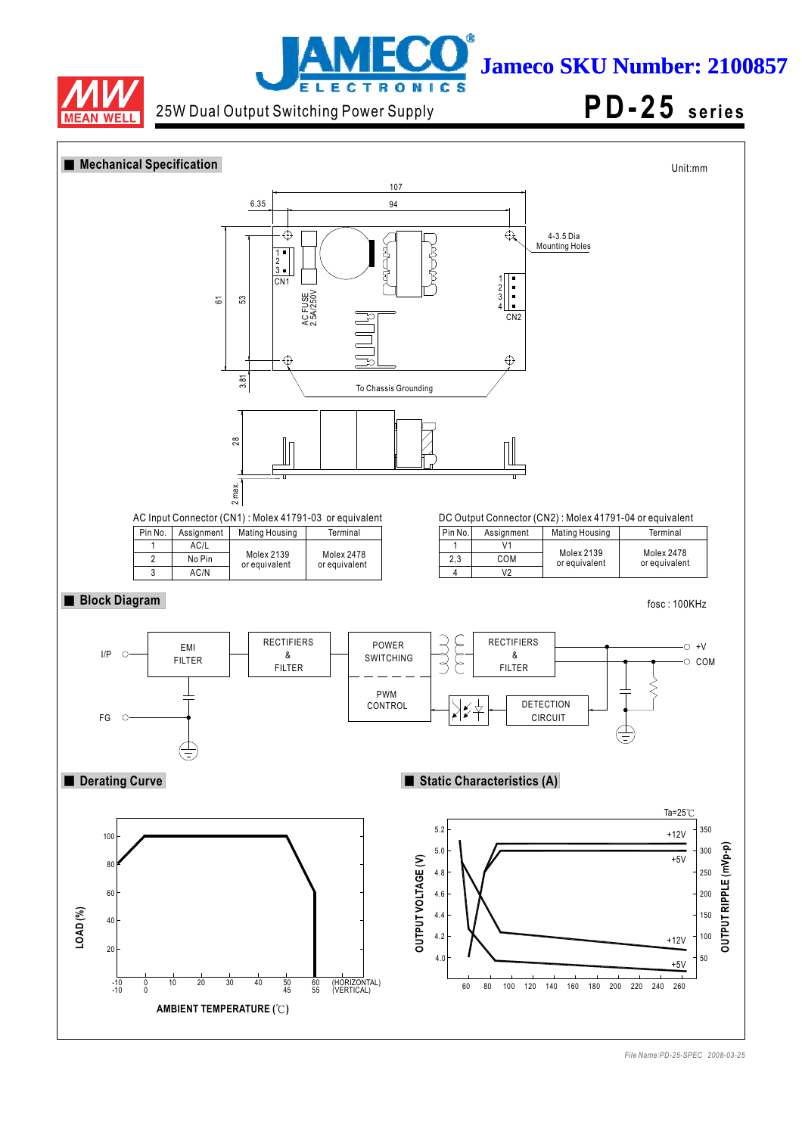



**Jameco SKU Number: 2100857**

25W Dual Output Switching Power Supply **PD-25** series

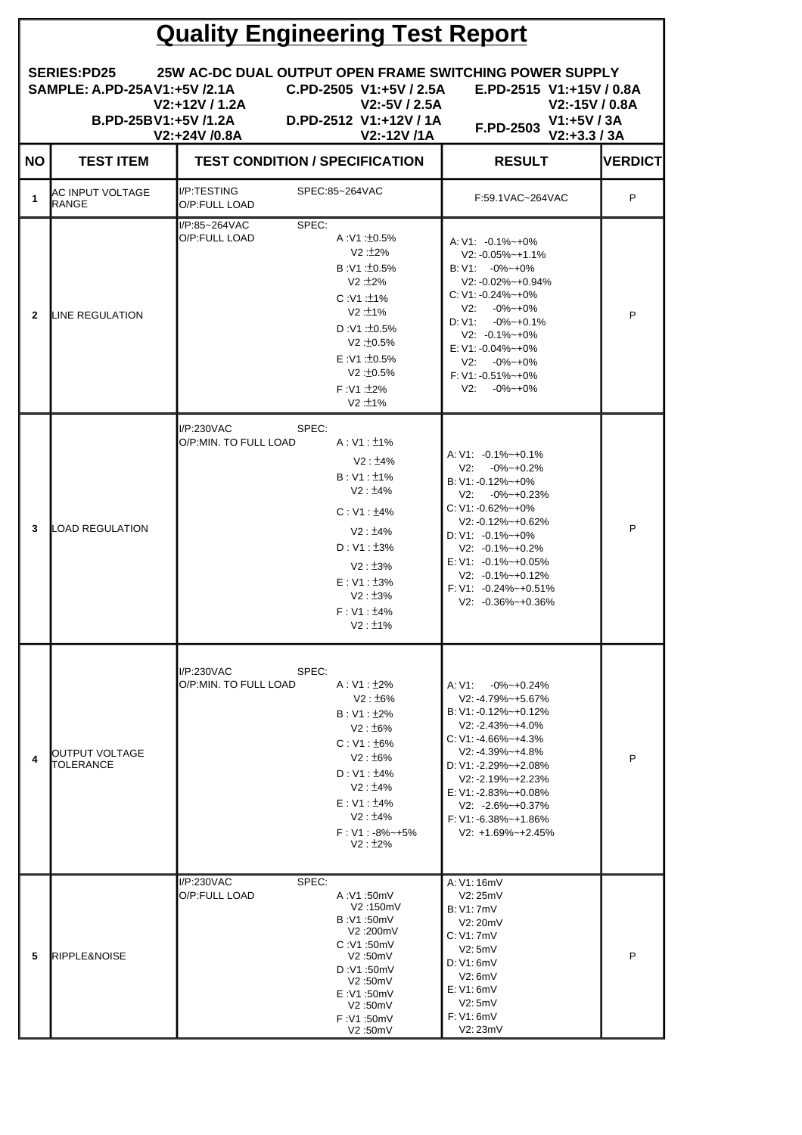| <b>Quality Engineering Test Report</b> |                                                      |                                     |                                                                                                                                                                                                                |                                                                                                                                                                                                                                                                                                                                                           |                |  |  |
|----------------------------------------|------------------------------------------------------|-------------------------------------|----------------------------------------------------------------------------------------------------------------------------------------------------------------------------------------------------------------|-----------------------------------------------------------------------------------------------------------------------------------------------------------------------------------------------------------------------------------------------------------------------------------------------------------------------------------------------------------|----------------|--|--|
|                                        | SAMPLE: A.PD-25AV1:+5V /2.1A<br>B.PD-25BV1:+5V /1.2A | V2:+12V / 1.2A<br>V2:+24V /0.8A     | C.PD-2505 V1:+5V / 2.5A<br>$V2: -5V / 2.5A$<br>D.PD-2512 V1:+12V / 1A<br>V2:-12V /1A                                                                                                                           | SERIES:PD25 25W AC-DC DUAL OUTPUT OPEN FRAME SWITCHING POWER SUPPLY<br>E.PD-2515 V1:+15V / 0.8A<br>V2:-15V / 0.8A<br>$V1: +5V / 3A$<br>F.PD-2503<br>$V2: +3.3 / 3A$                                                                                                                                                                                       |                |  |  |
| NO.                                    | <b>TEST ITEM</b>                                     |                                     | <b>TEST CONDITION / SPECIFICATION</b>                                                                                                                                                                          | <b>RESULT</b>                                                                                                                                                                                                                                                                                                                                             | <b>VERDICT</b> |  |  |
| 1                                      | AC INPUT VOLTAGE<br><b>RANGE</b>                     | II/P:TESTING<br>O/P:FULL LOAD       | SPEC:85~264VAC                                                                                                                                                                                                 | F:59.1VAC~264VAC                                                                                                                                                                                                                                                                                                                                          | P              |  |  |
| $\mathbf{2}$                           | <b>ILINE REGULATION</b>                              | I/P:85~264VAC<br>O/P:FULL LOAD      | SPEC:<br>A:V1:10.5%<br>$V2:2\%$<br>B:V1:±0.5%<br>V2: +2%<br>$C:V1:11\%$<br>V2:±1%<br>D:V1:10.5%<br>V2:10.5%<br>E : V1 : 10.5%<br>V2:10.5%<br>$F : V1 : 2\%$<br>V2:1%                                           | $A: V1: -0.1\% \rightarrow +0\%$<br>$V2: -0.05\% - +1.1\%$<br>$B: V1: -0\% - +0\%$<br>V2: -0.02%~+0.94%<br>$C: V1: -0.24\% \sim +0\%$<br>V2:<br>$-0\% - 0\%$<br>$D: V1: -0\% \sim +0.1\%$<br>$V2: -0.1\% - +0\%$<br>E: V1: -0.04%~+0%<br>$V2: -0\% \sim +0\%$<br>$F: V1: -0.51\% - +0\%$<br>$-0\% - 0\%$<br>V2:                                           | P              |  |  |
| 3                                      | LOAD REGULATION                                      | I/P:230VAC<br>O/P:MIN. TO FULL LOAD | SPEC:<br>$A:V1:11\%$<br>$V2: 14\%$<br>$B: V1: \pm 1\%$<br>V2: 14%<br>$C: V1: \pm 4\%$<br>$V2: 14\%$<br>$D: V1: \pm 3\%$<br>$V2: \pm 3\%$<br>$E: V1: \pm 3\%$<br>$V2: \pm 3\%$<br>$F: V1: \pm 4\%$<br>$V2: 1\%$ | $A: V1: -0.1\% - +0.1\%$<br>$V2: -0\% \sim +0.2\%$<br>B: V1: -0.12%~+0%<br>$V2: -0\% - +0.23\%$<br>$C: V1: -0.62\% - +0\%$<br>$V2: -0.12\% - +0.62\%$<br>$D: V1: -0.1\% - +0\%$<br>$V2: -0.1\% - +0.2\%$<br>$E: V1: -0.1\% - +0.05\%$<br>$V2: -0.1\% - +0.12\%$<br>$F: V1: -0.24\% - +0.51\%$<br>$V2: -0.36\% - +0.36\%$                                  | P              |  |  |
| 4                                      | OUTPUT VOLTAGE<br>TOLERANCE                          | I/P:230VAC<br>O/P:MIN. TO FULL LOAD | SPEC:<br>A:V1:±2%<br>$V2: \pm 6\%$<br>$B: V1: \pm 2\%$<br>V2:±6%<br>$C: V1: \pm 6\%$<br>V2:±6%<br>$D: V1: \pm 4\%$<br>V2: 14%<br>$E: V1: \pm 4\%$<br>V2: 14%<br>$F: V1: -8\% \rightarrow +5\%$<br>$V2: 12\%$   | A: V1:<br>$-0\% - 0.24\%$<br>$V2: -4.79\% - +5.67\%$<br>B: V1: -0.12%~+0.12%<br>$V2: -2.43\% - +4.0\%$<br>$C: V1: -4.66\% \rightarrow +4.3\%$<br>$V2: -4.39\% - +4.8\%$<br>$D: V1: -2.29\% - +2.08\%$<br>$V2: -2.19% - +2.23%$<br>$E: V1: -2.83\% - +0.08\%$<br>$V2: -2.6\% - +0.37\%$<br>$F: V1: -6.38\% \rightarrow +1.86\%$<br>$V2: +1.69\% - +2.45\%$ | P              |  |  |
| 5                                      | <b>IRIPPLE&amp;NOISE</b>                             | I/P:230VAC<br>O/P:FULL LOAD         | SPEC:<br>A:V1:50mV<br>V2:150mV<br>B:V1:50mV<br>V2:200mV<br>C:V1:50mV<br>V2:50mV<br>D:V1:50mV<br>V2:50mV<br>E:V1:50mV<br>V2:50mV<br>F:V1:50mV<br>V2:50mV                                                        | A: V1: 16mV<br>V2:25mV<br><b>B: V1: 7mV</b><br>V2: 20mV<br>C: V1: 7mV<br>V2:5mV<br>D: V1: 6mV<br>V2:6mV<br>E: V1: 6mV<br>V2:5mV<br>F: V1: 6mV<br>V2:23mV                                                                                                                                                                                                  | P              |  |  |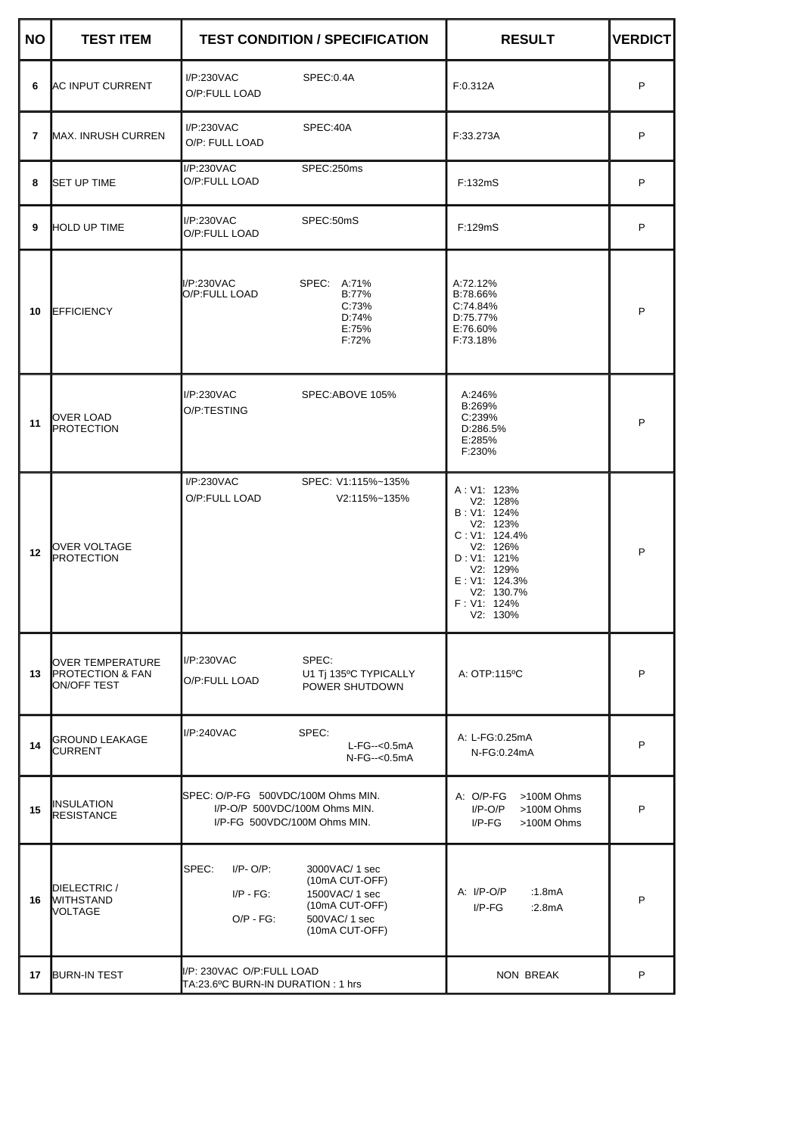| <b>NO</b>      | <b>TEST ITEM</b>                                               | <b>TEST CONDITION / SPECIFICATION</b>                                                                                                                             | <b>RESULT</b>                                                                                                                                                        | <b>VERDICT</b> |
|----------------|----------------------------------------------------------------|-------------------------------------------------------------------------------------------------------------------------------------------------------------------|----------------------------------------------------------------------------------------------------------------------------------------------------------------------|----------------|
| 6              | <b>AC INPUT CURRENT</b>                                        | I/P:230VAC<br>SPEC:0.4A<br>O/P:FULL LOAD                                                                                                                          | F:0.312A                                                                                                                                                             | P              |
| $\overline{7}$ | MAX. INRUSH CURREN                                             | I/P:230VAC<br>SPEC:40A<br>O/P: FULL LOAD                                                                                                                          | F:33.273A                                                                                                                                                            | P              |
| 8              | <b>ISET UP TIME</b>                                            | I/P:230VAC<br>SPEC:250ms<br>O/P:FULL LOAD                                                                                                                         | F:132mS                                                                                                                                                              | P              |
| 9              | <b>HOLD UP TIME</b>                                            | I/P:230VAC<br>SPEC:50mS<br>O/P:FULL LOAD                                                                                                                          | F:129mS                                                                                                                                                              | P              |
| 10             | <b>EFFICIENCY</b>                                              | I/P:230VAC<br>SPEC: A:71%<br>O/P:FULL LOAD<br>B:77%<br>C:73%<br>D:74%<br>E:75%<br>F:72%                                                                           | A:72.12%<br>B:78.66%<br>C:74.84%<br>D:75.77%<br>E:76.60%<br>F:73.18%                                                                                                 | P              |
| 11             | OVER LOAD<br>PROTECTION                                        | I/P:230VAC<br>SPEC:ABOVE 105%<br>O/P:TESTING                                                                                                                      | A:246%<br>B:269%<br>C:239%<br>D:286.5%<br>E:285%<br>F:230%                                                                                                           | P              |
| 12             | OVER VOLTAGE<br>PROTECTION                                     | I/P:230VAC<br>SPEC: V1:115%~135%<br>O/P:FULL LOAD<br>V2:115%~135%                                                                                                 | A: V1: 123%<br>V2: 128%<br>B: V1: 124%<br>V2: 123%<br>C: V1: 124.4%<br>V2: 126%<br>D: V1: 121%<br>V2: 129%<br>E: V1: 124.3%<br>V2: 130.7%<br>F: V1: 124%<br>V2: 130% | P              |
| 13             | OVER TEMPERATURE<br><b>PROTECTION &amp; FAN</b><br>ON/OFF TEST | SPEC:<br>I/P:230VAC<br>U1 Ti 135°C TYPICALLY<br>O/P:FULL LOAD<br>POWER SHUTDOWN                                                                                   | A: OTP:115°C                                                                                                                                                         | P              |
| 14             | <b>GROUND LEAKAGE</b><br><b>CURRENT</b>                        | I/P:240VAC<br>SPEC:<br>$L$ -FG--< $0.5$ mA<br>$N-FG--<0.5mA$                                                                                                      | A: L-FG:0.25mA<br>N-FG:0.24mA                                                                                                                                        | P              |
| 15             | ∥INSULATION<br>RESISTANCE                                      | SPEC: O/P-FG 500VDC/100M Ohms MIN.<br>I/P-O/P 500VDC/100M Ohms MIN.<br>I/P-FG 500VDC/100M Ohms MIN.                                                               | A: O/P-FG<br>>100M Ohms<br>$I/P-O/P$<br>>100M Ohms<br>$I/P-FG$<br>>100M Ohms                                                                                         | P              |
| 16             | DIELECTRIC /<br><b>WITHSTAND</b><br><b>NOLTAGE</b>             | SPEC:<br>$I/P - O/P$ :<br>3000VAC/ 1 sec<br>(10mA CUT-OFF)<br>1500VAC/ 1 sec<br>$I/P - FG$ :<br>(10mA CUT-OFF)<br>$O/P - FG$ :<br>500VAC/ 1 sec<br>(10mA CUT-OFF) | A: I/P-O/P<br>:1.8mA<br>$I/P-FG$<br>:2.8mA                                                                                                                           | P              |
| 17             | <b>BURN-IN TEST</b>                                            | I/P: 230VAC O/P:FULL LOAD<br>TA:23.6ºC BURN-IN DURATION : 1 hrs                                                                                                   | NON BREAK                                                                                                                                                            | P              |